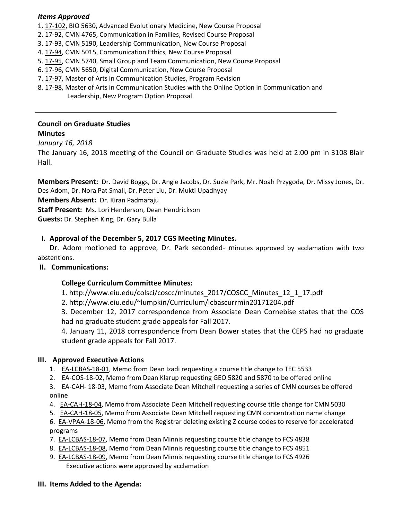### *Items Approved*

- 1. [17-102,](http://castle.eiu.edu/eiucgs/currentagendaitems/agenda17-102.pdf) BIO 5630, Advanced Evolutionary Medicine, New Course Proposal
- 2. [17-92,](http://castle.eiu.edu/eiucgs/currentagendaitems/agenda17-92.pdf) CMN 4765, Communication in Families, Revised Course Proposal
- 3. [17-93,](http://castle.eiu.edu/eiucgs/currentagendaitems/agenda17-93.pdf) CMN 5190, Leadership Communication, New Course Proposal
- 4[. 17-94,](http://castle.eiu.edu/eiucgs/currentagendaitems/agenda17-94.pdf) CMN 5015, Communication Ethics, New Course Proposal
- 5[. 17-95,](http://castle.eiu.edu/eiucgs/currentagendaitems/agenda17-95.pdf) CMN 5740, Small Group and Team Communication, New Course Proposal
- 6[. 17-96,](http://castle.eiu.edu/eiucgs/currentagendaitems/agenda17-96.pdf) CMN 5650, Digital Communication, New Course Proposal
- 7[. 17-97](http://castle.eiu.edu/eiucgs/currentagendaitems/agenda17-97.pdf), Master of Arts in Communication Studies, Program Revision

ֺ

8[. 17-98](http://castle.eiu.edu/eiucgs/currentagendaitems/agenda17-98.pdf), Master of Arts in Communication Studies with the Online Option in Communication and Leadership, New Program Option Proposal

### **Council on Graduate Studies Minutes**

### *January 16, 2018*

The January 16, 2018 meeting of the Council on Graduate Studies was held at 2:00 pm in 3108 Blair Hall.

**Members Present:** Dr. David Boggs, Dr. Angie Jacobs, Dr. Suzie Park, Mr. Noah Przygoda, Dr. Missy Jones, Dr. Des Adom, Dr. Nora Pat Small, Dr. Peter Liu, Dr. Mukti Upadhyay

**Members Absent:** Dr. Kiran Padmaraju

**Staff Present:** Ms. Lori Henderson, Dean Hendrickson

**Guests:** Dr. Stephen King, Dr. Gary Bulla

# **I. Approval of th[e December 5, 2017](http://castle.eiu.edu/eiucgs/currentminutes/Minutes12-5-17.pdf) CGS Meeting Minutes.**

 Dr. Adom motioned to approve, Dr. Park seconded- minutes approved by acclamation with two abstentions.

### **II. Communications:**

# **College Curriculum Committee Minutes:**

1. [http://www.eiu.edu/colsci/coscc/minutes\\_2017/COSCC\\_Minutes\\_12\\_1\\_17.pdf](http://www.eiu.edu/colsci/coscc/minutes_2017/COSCC_Minutes_12_1_17.pdf) 

2. <http://www.eiu.edu/~lumpkin/Curriculum/lcbascurrmin20171204.pdf>

3. December 12, 2017 correspondence from Associate Dean Cornebise states that the COS had no graduate student grade appeals for Fall 2017.

4. January 11, 2018 correspondence from Dean Bower states that the CEPS had no graduate student grade appeals for Fall 2017.

# **III. Approved Executive Actions**

- 1. [EA-LCBAS-18-01,](http://castle.eiu.edu/eiucgs/exec-actions/EA-LCBAS-18-01.pdf) Memo from Dean Izadi requesting a course title change to TEC 5533
- 2. [EA-COS-18-02,](http://castle.eiu.edu/eiucgs/exec-actions/EA-COS-18-02.pdf) Memo from Dean Klarup requesting GEO 5820 and 5870 to be offered online
- 3. [EA-CAH- 18-03,](http://castle.eiu.edu/eiucgs/exec-actions/EA-CAH-18-03.pdf) Memo from Associate Dean Mitchell requesting a series of CMN courses be offered online
- 4. [EA-CAH-18-04](http://castle.eiu.edu/eiucgs/exec-actions/EA-CAH-18-04.pdf), Memo from Associate Dean Mitchell requesting course title change for CMN 5030
- 5. [EA-CAH-18-05,](http://castle.eiu.edu/eiucgs/exec-actions/EA-CAH-18-05.pdf) Memo from Associate Dean Mitchell requesting CMN concentration name change
- 6. [EA-VPAA-18-06,](http://castle.eiu.edu/eiucgs/exec-actions/EA-VPAA-18-06.pdf) Memo from the Registrar deleting existing Z course codes to reserve for accelerated programs
- 7. [EA-LCBAS-18-07,](http://castle.eiu.edu/eiucgs/exec-actions/EA-LCBAS-18-07.pdf) Memo from Dean Minnis requesting course title change to FCS 4838
- 8. [EA-LCBAS-18-08,](http://castle.eiu.edu/eiucgs/exec-actions/EA-LCBAS-18-08.pdf) Memo from Dean Minnis requesting course title change to FCS 4851
- 9. [EA-LCBAS-18-0](http://castle.eiu.edu/eiucgs/exec-actions/EA-LCBAS-18-09.pdf)9, Memo from Dean Minnis requesting course title change to FCS 4926 Executive actions were approved by acclamation

### **III. Items Added to the Agenda:**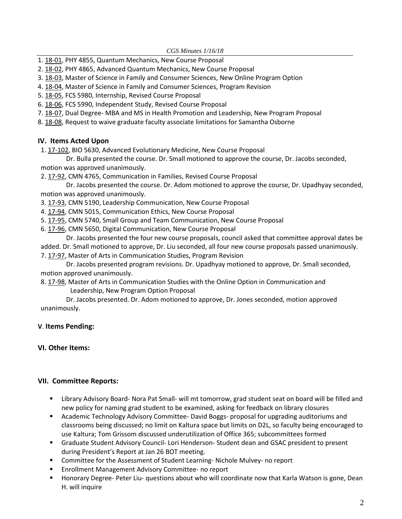*CGS Minutes 1/16/18* 

- 1. [18-01](http://castle.eiu.edu/eiucgs/currentagendaitems/agenda18-01.pdf), PHY 4855, Quantum Mechanics, New Course Proposal
- 2. [18-02](http://castle.eiu.edu/eiucgs/currentagendaitems/agenda18-02.pdf), PHY 4865, Advanced Quantum Mechanics, New Course Proposal
- 3. [18-03](http://castle.eiu.edu/eiucgs/currentagendaitems/agenda18-03.pdf), Master of Science in Family and Consumer Sciences, New Online Program Option
- 4. [18-04,](http://castle.eiu.edu/eiucgs/currentagendaitems/agenda18-04.pdf) Master of Science in Family and Consumer Sciences, Program Revision
- 5. [18-05,](http://castle.eiu.edu/eiucgs/currentagendaitems/agenda18-05.pdf) FCS 5980, Internship, Revised Course Proposal
- 6. [18-06,](http://castle.eiu.edu/eiucgs/currentagendaitems/agenda18-06.pdf) FCS 5990, Independent Study, Revised Course Proposal
- 7. [18-07,](http://castle.eiu.edu/eiucgs/currentagendaitems/agenda18-07.pdf) Dual Degree- MBA and MS in Health Promotion and Leadership, New Program Proposal
- 8. [18-08](http://castle.eiu.edu/eiucgs/currentagendaitems/agenda18-08.pdf), Request to waive graduate faculty associate limitations for Samantha Osborne

### **IV. Items Acted Upon**

1. [17-102,](http://castle.eiu.edu/eiucgs/currentagendaitems/agenda17-102.pdf) BIO 5630, Advanced Evolutionary Medicine, New Course Proposal

 Dr. Bulla presented the course. Dr. Small motioned to approve the course, Dr. Jacobs seconded, motion was approved unanimously.

2. [17-92](http://castle.eiu.edu/eiucgs/currentagendaitems/agenda17-92.pdf), CMN 4765, Communication in Families, Revised Course Proposal

 Dr. Jacobs presented the course. Dr. Adom motioned to approve the course, Dr. Upadhyay seconded, motion was approved unanimously.

3. [17-93,](http://castle.eiu.edu/eiucgs/currentagendaitems/agenda17-93.pdf) CMN 5190, Leadership Communication, New Course Proposal

- 4. [17-94,](http://castle.eiu.edu/eiucgs/currentagendaitems/agenda17-94.pdf) CMN 5015, Communication Ethics, New Course Proposal
- 5. [17-95,](http://castle.eiu.edu/eiucgs/currentagendaitems/agenda17-95.pdf) CMN 5740, Small Group and Team Communication, New Course Proposal
- 6. [17-96,](http://castle.eiu.edu/eiucgs/currentagendaitems/agenda17-96.pdf) CMN 5650, Digital Communication, New Course Proposal

 Dr. Jacobs presented the four new course proposals, council asked that committee approval dates be added. Dr. Small motioned to approve, Dr. Liu seconded, all four new course proposals passed unanimously. 7. [17-97,](http://castle.eiu.edu/eiucgs/currentagendaitems/agenda17-97.pdf) Master of Arts in Communication Studies, Program Revision

 Dr. Jacobs presented program revisions. Dr. Upadhyay motioned to approve, Dr. Small seconded, motion approved unanimously.

8. [17-98,](http://castle.eiu.edu/eiucgs/currentagendaitems/agenda17-98.pdf) Master of Arts in Communication Studies with the Online Option in Communication and Leadership, New Program Option Proposal

 Dr. Jacobs presented. Dr. Adom motioned to approve, Dr. Jones seconded, motion approved unanimously.

# **V**. **Items Pending:**

# **VI. Other Items:**

# **VII. Committee Reports:**

- Library Advisory Board- Nora Pat Small- will mt tomorrow, grad student seat on board will be filled and new policy for naming grad student to be examined, asking for feedback on library closures
- Academic Technology Advisory Committee- David Boggs- proposal for upgrading auditoriums and classrooms being discussed; no limit on Kaltura space but limits on D2L, so faculty being encouraged to use Kaltura; Tom Grissom discussed underutilization of Office 365; subcommittees formed
- Graduate Student Advisory Council- Lori Henderson- Student dean and GSAC president to present during President's Report at Jan 26 BOT meeting.
- **EXP** Committee for the Assessment of Student Learning-Nichole Mulvey- no report
- **Enrollment Management Advisory Committee- no report**
- Honorary Degree- Peter Liu- questions about who will coordinate now that Karla Watson is gone, Dean H. will inquire